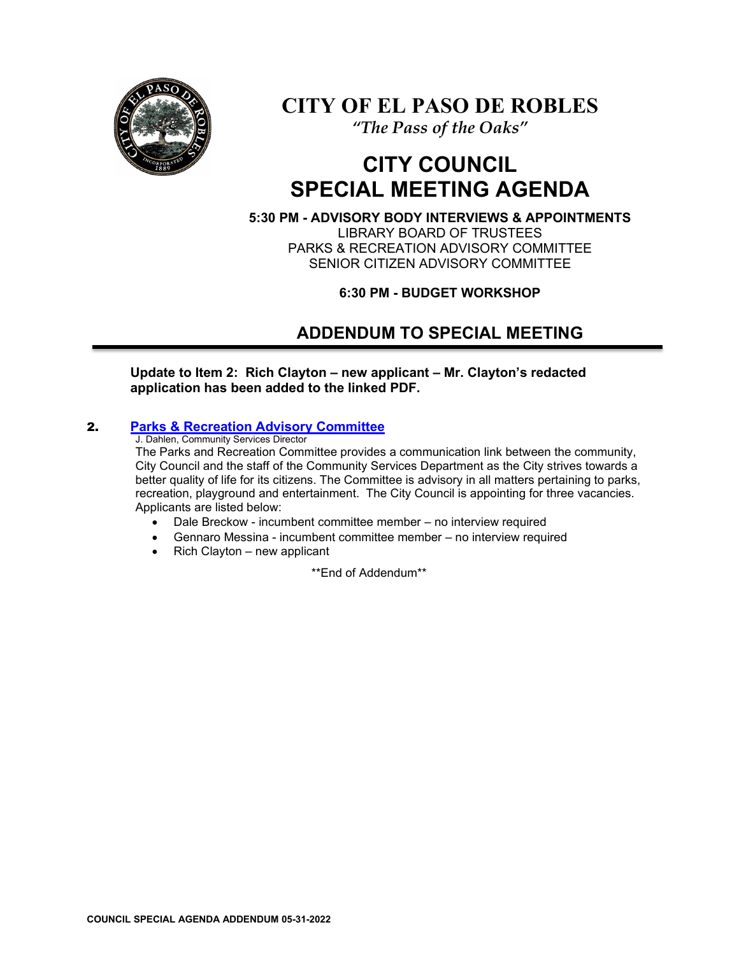

# **CITY OF EL PASO DE ROBLES**

*"The Pass of the Oaks"*

# **CITY COUNCIL SPECIAL MEETING AGENDA**

**5:30 PM - ADVISORY BODY INTERVIEWS & APPOINTMENTS** LIBRARY BOARD OF TRUSTEES PARKS & RECREATION ADVISORY COMMITTEE SENIOR CITIZEN ADVISORY COMMITTEE

**6:30 PM - BUDGET WORKSHOP** 

# **ADDENDUM TO SPECIAL MEETING**

**Update to Item 2: Rich Clayton – new applicant – Mr. Clayton's redacted application has been added to the linked PDF.** 

# 2. **[Parks & Recreation Advisory Committee](https://www.prcity.com/DocumentCenter/View/33972/May-31-2022-City-Council-Special-Meeting-Agenda-Item-02-PDF)**

J. Dahlen, Community Services Director

The Parks and Recreation Committee provides a communication link between the community, City Council and the staff of the Community Services Department as the City strives towards a better quality of life for its citizens. The Committee is advisory in all matters pertaining to parks, recreation, playground and entertainment. The City Council is appointing for three vacancies. Applicants are listed below:

- Dale Breckow incumbent committee member no interview required
- Gennaro Messina incumbent committee member no interview required
- Rich Clayton new applicant

\*\*End of Addendum\*\*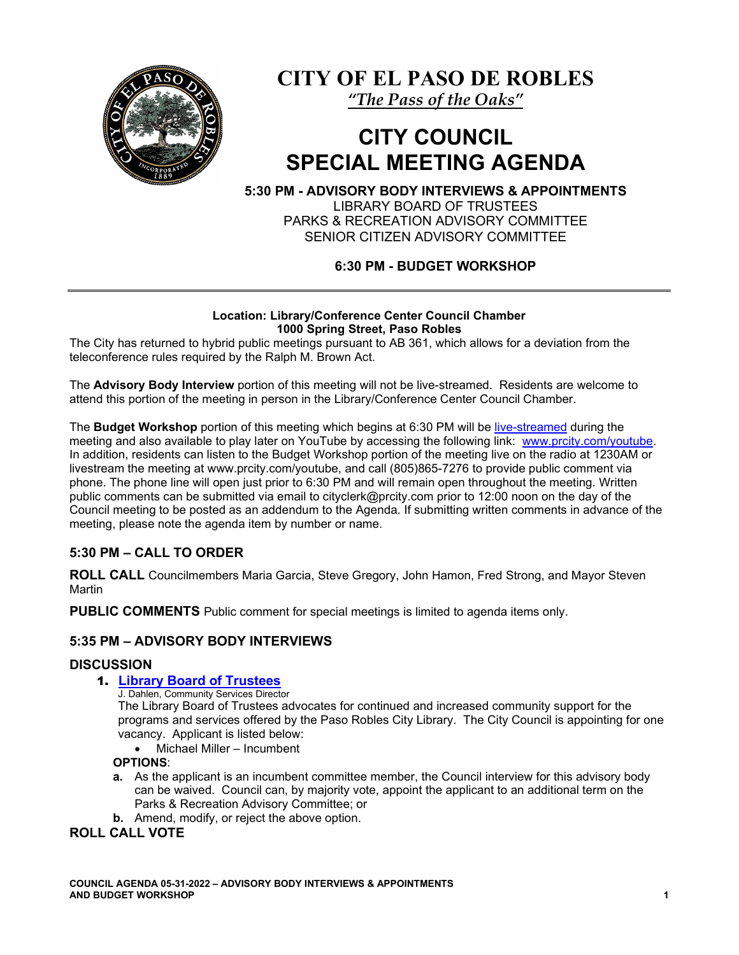

**CITY OF EL PASO DE ROBLES**

*"The Pass of the Oaks"*

# **CITY COUNCIL SPECIAL MEETING AGENDA**

**5:30 PM - ADVISORY BODY INTERVIEWS & APPOINTMENTS** LIBRARY BOARD OF TRUSTEES

PARKS & RECREATION ADVISORY COMMITTEE SENIOR CITIZEN ADVISORY COMMITTEE

# **6:30 PM - BUDGET WORKSHOP**

#### **Location: Library/Conference Center Council Chamber 1000 Spring Street, Paso Robles**

The City has returned to hybrid public meetings pursuant to AB 361, which allows for a deviation from the teleconference rules required by the Ralph M. Brown Act.

The **Advisory Body Interview** portion of this meeting will not be live-streamed. Residents are welcome to attend this portion of the meeting in person in the Library/Conference Center Council Chamber.

The **Budget Workshop** portion of this meeting which begins at 6:30 PM will be [live-streamed](https://www.youtube.com/channel/UCxElWtI1YhkPr6KI552RDuw) during the meeting and also available to play later on YouTube by accessing the following link: [www.prcity.com/youtube.](http://www.prcity.com/youtube) In addition, residents can listen to the Budget Workshop portion of the meeting live on the radio at 1230AM or livestream the meeting at www.prcity.com/youtube, and call (805)865-7276 to provide public comment via phone. The phone line will open just prior to 6:30 PM and will remain open throughout the meeting. Written public comments can be submitted via email to cityclerk@prcity.com prior to 12:00 noon on the day of the Council meeting to be posted as an addendum to the Agenda. If submitting written comments in advance of the meeting, please note the agenda item by number or name.

# **5:30 PM – CALL TO ORDER**

**ROLL CALL** Councilmembers Maria Garcia, Steve Gregory, John Hamon, Fred Strong, and Mayor Steven **Martin** 

**PUBLIC COMMENTS** Public comment for special meetings is limited to agenda items only.

# **5:35 PM – ADVISORY BODY INTERVIEWS**

#### **DISCUSSION**

#### 1. **[Library Board of Trustees](https://www.prcity.com/DocumentCenter/View/33971/May-31-2022-City-Council-Special-Meeting-Agenda-Item-01-PDF)**

J. Dahlen, Community Services Director

The Library Board of Trustees advocates for continued and increased community support for the programs and services offered by the Paso Robles City Library. The City Council is appointing for one vacancy. Applicant is listed below:

• Michael Miller – Incumbent

#### **OPTIONS**:

- **a.** As the applicant is an incumbent committee member, the Council interview for this advisory body can be waived. Council can, by majority vote, appoint the applicant to an additional term on the Parks & Recreation Advisory Committee; or
- **b.** Amend, modify, or reject the above option.

#### **ROLL CALL VOTE**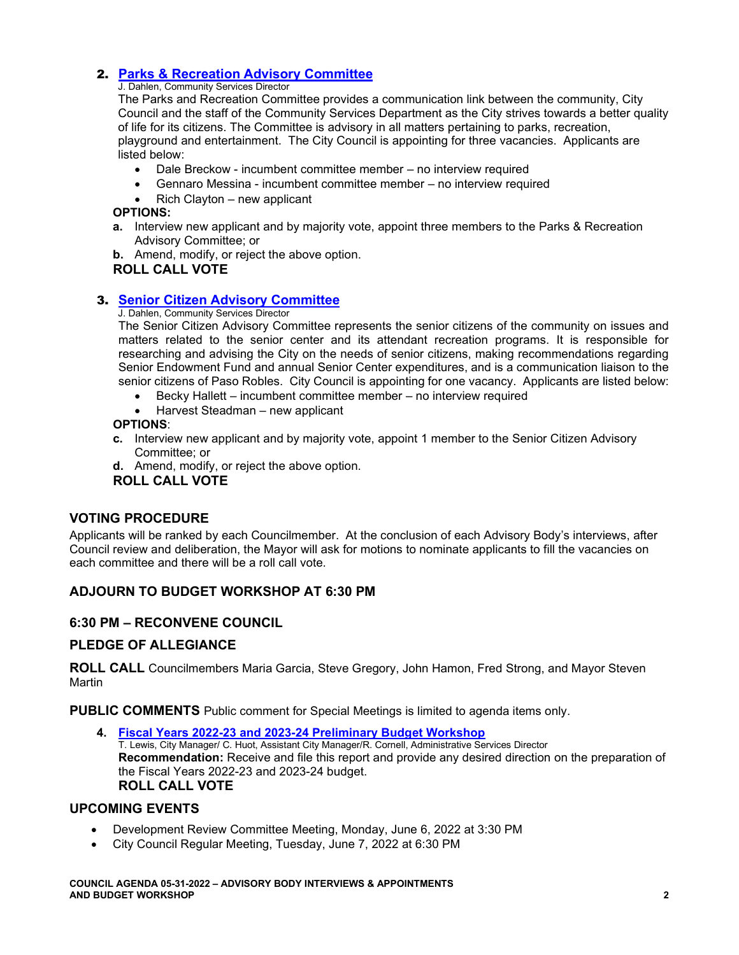# 2. **[Parks & Recreation Advisory Committee](https://www.prcity.com/DocumentCenter/View/33972/May-31-2022-City-Council-Special-Meeting-Agenda-Item-02-PDF)**

#### J. Dahlen, Community Services Director

The Parks and Recreation Committee provides a communication link between the community, City Council and the staff of the Community Services Department as the City strives towards a better quality of life for its citizens. The Committee is advisory in all matters pertaining to parks, recreation, playground and entertainment. The City Council is appointing for three vacancies. Applicants are listed below:

- Dale Breckow incumbent committee member no interview required
- Gennaro Messina incumbent committee member no interview required
- Rich Clayton new applicant

#### **OPTIONS:**

- **a.** Interview new applicant and by majority vote, appoint three members to the Parks & Recreation Advisory Committee; or
- **b.** Amend, modify, or reject the above option.

# **ROLL CALL VOTE**

# 3. **[Senior Citizen Advisory Committee](https://www.prcity.com/DocumentCenter/View/33970/May-31-2022-City-Council-Special-Meeting-Agenda-Item-03-PDF)**

#### J. Dahlen, Community Services Director

The Senior Citizen Advisory Committee represents the senior citizens of the community on issues and matters related to the senior center and its attendant recreation programs. It is responsible for researching and advising the City on the needs of senior citizens, making recommendations regarding Senior Endowment Fund and annual Senior Center expenditures, and is a communication liaison to the senior citizens of Paso Robles. City Council is appointing for one vacancy. Applicants are listed below:

- Becky Hallett incumbent committee member no interview required
- Harvest Steadman new applicant

#### **OPTIONS**:

- **c.** Interview new applicant and by majority vote, appoint 1 member to the Senior Citizen Advisory Committee; or
- **d.** Amend, modify, or reject the above option.

#### **ROLL CALL VOTE**

# **VOTING PROCEDURE**

Applicants will be ranked by each Councilmember. At the conclusion of each Advisory Body's interviews, after Council review and deliberation, the Mayor will ask for motions to nominate applicants to fill the vacancies on each committee and there will be a roll call vote.

# **ADJOURN TO BUDGET WORKSHOP AT 6:30 PM**

# **6:30 PM – RECONVENE COUNCIL**

# **PLEDGE OF ALLEGIANCE**

**ROLL CALL** Councilmembers Maria Garcia, Steve Gregory, John Hamon, Fred Strong, and Mayor Steven **Martin** 

**PUBLIC COMMENTS** Public comment for Special Meetings is limited to agenda items only.

**4. [Fiscal Years 2022-23 and 2023-24 Preliminary Budget Workshop](https://www.prcity.com/DocumentCenter/View/33975/May-31-2022-City-Council-Special-Meeting-Agenda-Item-04-PDF)** T. Lewis, City Manager/ C. Huot, Assistant City Manager/R. Cornell, Administrative Services Director **Recommendation:** Receive and file this report and provide any desired direction on the preparation of the Fiscal Years 2022-23 and 2023-24 budget. **ROLL CALL VOTE**

# **UPCOMING EVENTS**

- Development Review Committee Meeting, Monday, June 6, 2022 at 3:30 PM
- City Council Regular Meeting, Tuesday, June 7, 2022 at 6:30 PM